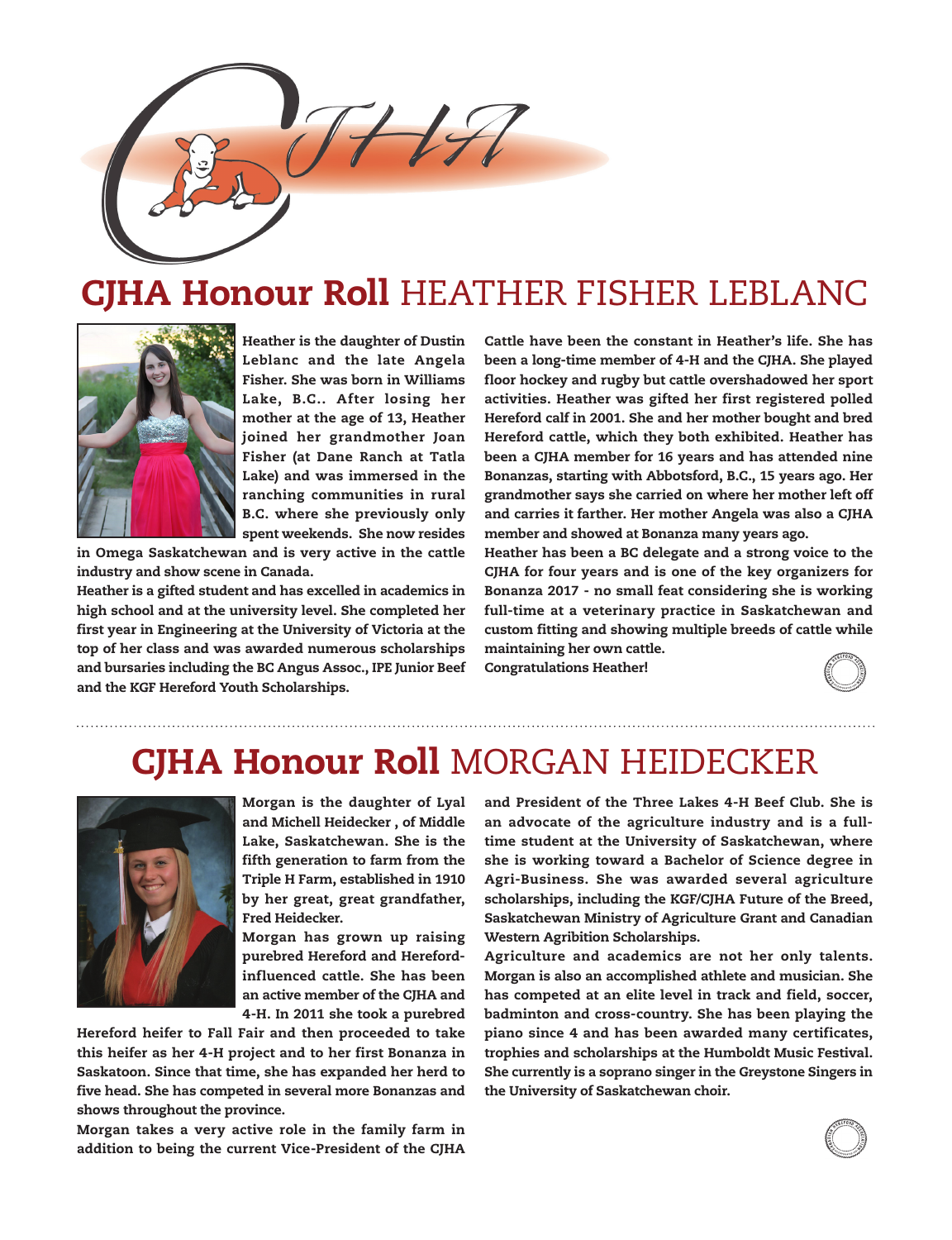

## **CJHA Honour Roll HEATHER FISHER LEBLANC**



Heather is the daughter of Dustin Leblanc and the late Angela Fisher. She was born in Williams Lake, B.C.. After losing her mother at the age of 13, Heather joined her grandmother Joan Fisher (at Dane Ranch at Tatla Lake) and was immersed in the ranching communities in rural B.C. where she previously only spent weekends. She now resides

in Omega Saskatchewan and is very active in the cattle industry and show scene in Canada.

Heather is a gifted student and has excelled in academics in high school and at the university level. She completed her first year in Engineering at the University of Victoria at the top of her class and was awarded numerous scholarships and bursaries including the BC Angus Assoc., IPE Junior Beef and the KGF Hereford Youth Scholarships.

Cattle have been the constant in Heather's life. She has been a long-time member of 4-H and the CJHA. She played floor hockey and rugby but cattle overshadowed her sport activities. Heather was gifted her first registered polled Hereford calf in 2001. She and her mother bought and bred Hereford cattle, which they both exhibited. Heather has been a CJHA member for 16 years and has attended nine Bonanzas, starting with Abbotsford, B.C., 15 years ago. Her grandmother says she carried on where her mother left off and carries it farther. Her mother Angela was also a CJHA member and showed at Bonanza many years ago.

Heather has been a BC delegate and a strong voice to the CJHA for four years and is one of the key organizers for Bonanza 2017 - no small feat considering she is working full-time at a veterinary practice in Saskatchewan and custom fitting and showing multiple breeds of cattle while maintaining her own cattle.

Congratulations Heather!



## CJHA Honour Roll MORGAN HEIDECKER



Morgan is the daughter of Lyal and Michell Heidecker , of Middle Lake, Saskatchewan. She is the fifth generation to farm from the Triple H Farm, established in 1910 by her great, great grandfather, Fred Heidecker.

Morgan has grown up raising purebred Hereford and Herefordinfluenced cattle. She has been an active member of the CJHA and 4-H. In 2011 she took a purebred

Hereford heifer to Fall Fair and then proceeded to take this heifer as her 4-H project and to her first Bonanza in Saskatoon. Since that time, she has expanded her herd to five head. She has competed in several more Bonanzas and shows throughout the province.

Morgan takes a very active role in the family farm in addition to being the current Vice-President of the CJHA

and President of the Three Lakes 4-H Beef Club. She is an advocate of the agriculture industry and is a fulltime student at the University of Saskatchewan, where she is working toward a Bachelor of Science degree in Agri-Business. She was awarded several agriculture scholarships, including the KGF/CJHA Future of the Breed, Saskatchewan Ministry of Agriculture Grant and Canadian Western Agribition Scholarships.

Agriculture and academics are not her only talents. Morgan is also an accomplished athlete and musician. She has competed at an elite level in track and field, soccer, badminton and cross-country. She has been playing the piano since 4 and has been awarded many certificates, trophies and scholarships at the Humboldt Music Festival. She currently is a soprano singer in the Greystone Singers in the University of Saskatchewan choir.